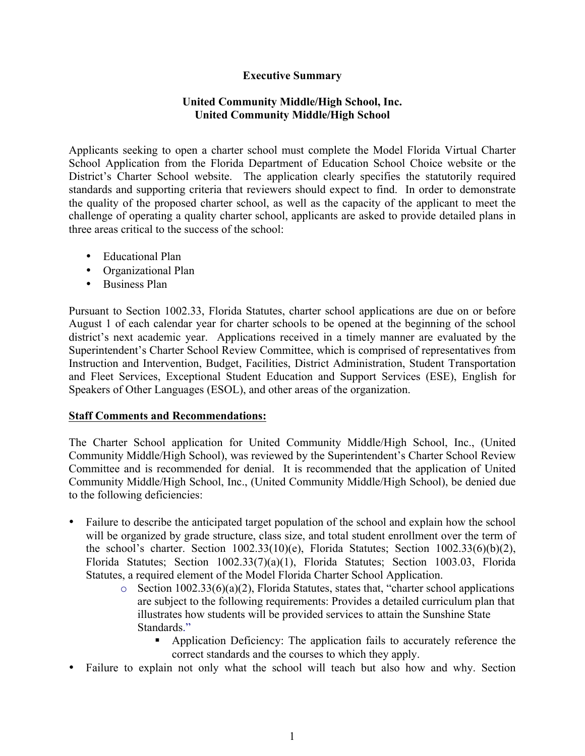## **Executive Summary**

## **United Community Middle/High School, Inc. United Community Middle/High School**

Applicants seeking to open a charter school must complete the Model Florida Virtual Charter School Application from the Florida Department of Education School Choice website or the District's Charter School website. The application clearly specifies the statutorily required standards and supporting criteria that reviewers should expect to find. In order to demonstrate the quality of the proposed charter school, as well as the capacity of the applicant to meet the challenge of operating a quality charter school, applicants are asked to provide detailed plans in three areas critical to the success of the school:

- Educational Plan
- Organizational Plan
- Business Plan

Pursuant to Section 1002.33, Florida Statutes, charter school applications are due on or before August 1 of each calendar year for charter schools to be opened at the beginning of the school district's next academic year. Applications received in a timely manner are evaluated by the Superintendent's Charter School Review Committee, which is comprised of representatives from Instruction and Intervention, Budget, Facilities, District Administration, Student Transportation and Fleet Services, Exceptional Student Education and Support Services (ESE), English for Speakers of Other Languages (ESOL), and other areas of the organization.

## **Staff Comments and Recommendations:**

The Charter School application for United Community Middle/High School, Inc., (United Community Middle/High School), was reviewed by the Superintendent's Charter School Review Committee and is recommended for denial. It is recommended that the application of United Community Middle/High School, Inc., (United Community Middle/High School), be denied due to the following deficiencies:

- Failure to describe the anticipated target population of the school and explain how the school will be organized by grade structure, class size, and total student enrollment over the term of the school's charter. Section  $1002.33(10)(e)$ , Florida Statutes; Section  $1002.33(6)(b)(2)$ , Florida Statutes; Section 1002.33(7)(a)(1), Florida Statutes; Section 1003.03, Florida Statutes, a required element of the Model Florida Charter School Application.
	- $\circ$  Section 1002.33(6)(a)(2), Florida Statutes, states that, "charter school applications are subject to the following requirements: Provides a detailed curriculum plan that illustrates how students will be provided services to attain the Sunshine State Standards<sup>"</sup>
		- Application Deficiency: The application fails to accurately reference the correct standards and the courses to which they apply.
- Failure to explain not only what the school will teach but also how and why. Section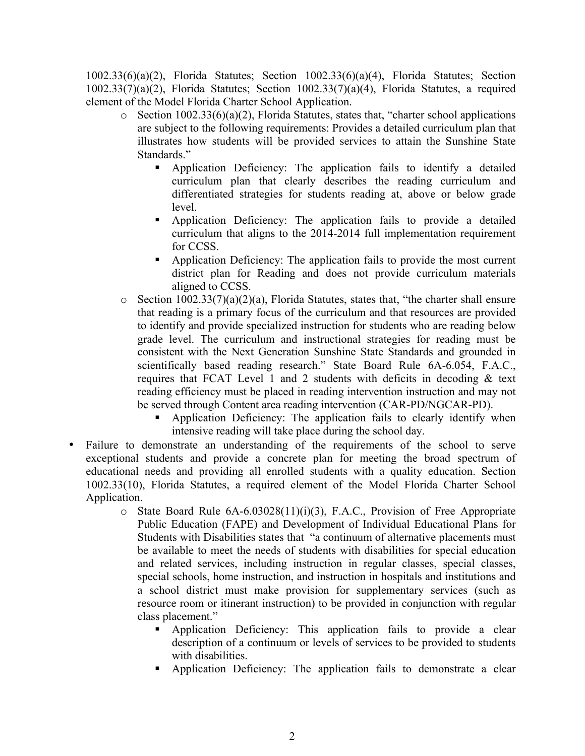1002.33(6)(a)(2), Florida Statutes; Section 1002.33(6)(a)(4), Florida Statutes; Section 1002.33(7)(a)(2), Florida Statutes; Section 1002.33(7)(a)(4), Florida Statutes, a required element of the Model Florida Charter School Application.

- o Section 1002.33(6)(a)(2), Florida Statutes, states that, "charter school applications are subject to the following requirements: Provides a detailed curriculum plan that illustrates how students will be provided services to attain the Sunshine State Standards."
	- § Application Deficiency: The application fails to identify a detailed curriculum plan that clearly describes the reading curriculum and differentiated strategies for students reading at, above or below grade level.
	- § Application Deficiency: The application fails to provide a detailed curriculum that aligns to the 2014-2014 full implementation requirement for CCSS.
	- § Application Deficiency: The application fails to provide the most current district plan for Reading and does not provide curriculum materials aligned to CCSS.
- $\circ$  Section 1002.33(7)(a)(2)(a), Florida Statutes, states that, "the charter shall ensure that reading is a primary focus of the curriculum and that resources are provided to identify and provide specialized instruction for students who are reading below grade level. The curriculum and instructional strategies for reading must be consistent with the Next Generation Sunshine State Standards and grounded in scientifically based reading research." State Board Rule 6A-6.054, F.A.C., requires that FCAT Level 1 and 2 students with deficits in decoding  $\&$  text reading efficiency must be placed in reading intervention instruction and may not be served through Content area reading intervention (CAR-PD/NGCAR-PD).
	- Application Deficiency: The application fails to clearly identify when intensive reading will take place during the school day.
- Failure to demonstrate an understanding of the requirements of the school to serve exceptional students and provide a concrete plan for meeting the broad spectrum of educational needs and providing all enrolled students with a quality education. Section 1002.33(10), Florida Statutes, a required element of the Model Florida Charter School Application.
	- o State Board Rule 6A-6.03028(11)(i)(3), F.A.C., Provision of Free Appropriate Public Education (FAPE) and Development of Individual Educational Plans for Students with Disabilities states that "a continuum of alternative placements must be available to meet the needs of students with disabilities for special education and related services, including instruction in regular classes, special classes, special schools, home instruction, and instruction in hospitals and institutions and a school district must make provision for supplementary services (such as resource room or itinerant instruction) to be provided in conjunction with regular class placement."
		- § Application Deficiency: This application fails to provide a clear description of a continuum or levels of services to be provided to students with disabilities.
		- § Application Deficiency: The application fails to demonstrate a clear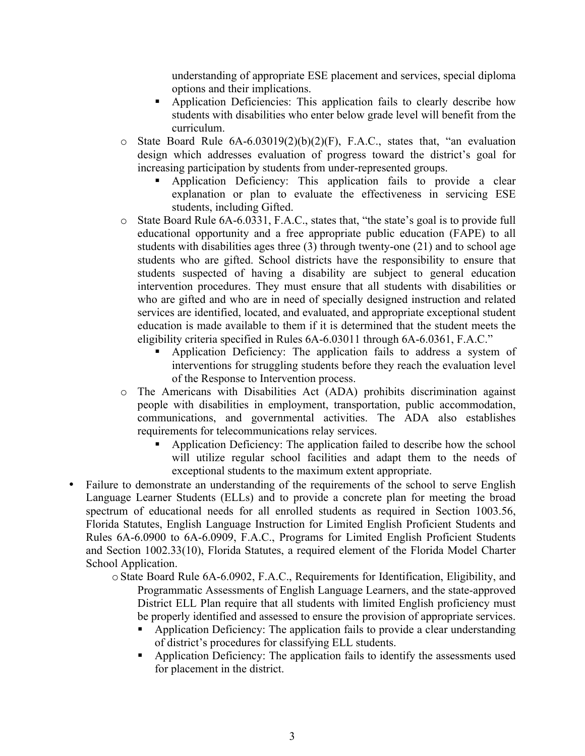understanding of appropriate ESE placement and services, special diploma options and their implications.

- Application Deficiencies: This application fails to clearly describe how students with disabilities who enter below grade level will benefit from the curriculum.
- $\circ$  State Board Rule 6A-6.03019(2)(b)(2)(F), F.A.C., states that, "an evaluation design which addresses evaluation of progress toward the district's goal for increasing participation by students from under-represented groups.
	- Application Deficiency: This application fails to provide a clear explanation or plan to evaluate the effectiveness in servicing ESE students, including Gifted.
- o State Board Rule 6A-6.0331, F.A.C., states that, "the state's goal is to provide full educational opportunity and a free appropriate public education (FAPE) to all students with disabilities ages three (3) through twenty-one (21) and to school age students who are gifted. School districts have the responsibility to ensure that students suspected of having a disability are subject to general education intervention procedures. They must ensure that all students with disabilities or who are gifted and who are in need of specially designed instruction and related services are identified, located, and evaluated, and appropriate exceptional student education is made available to them if it is determined that the student meets the eligibility criteria specified in Rules 6A-6.03011 through 6A-6.0361, F.A.C."
	- § Application Deficiency: The application fails to address a system of interventions for struggling students before they reach the evaluation level of the Response to Intervention process.
- o The Americans with Disabilities Act (ADA) prohibits discrimination against people with disabilities in employment, transportation, public accommodation, communications, and governmental activities. The ADA also establishes requirements for telecommunications relay services.
	- § Application Deficiency: The application failed to describe how the school will utilize regular school facilities and adapt them to the needs of exceptional students to the maximum extent appropriate.
- Failure to demonstrate an understanding of the requirements of the school to serve English Language Learner Students (ELLs) and to provide a concrete plan for meeting the broad spectrum of educational needs for all enrolled students as required in Section 1003.56, Florida Statutes, English Language Instruction for Limited English Proficient Students and Rules 6A-6.0900 to 6A-6.0909, F.A.C., Programs for Limited English Proficient Students and Section 1002.33(10), Florida Statutes, a required element of the Florida Model Charter School Application.
	- oState Board Rule 6A-6.0902, F.A.C., Requirements for Identification, Eligibility, and Programmatic Assessments of English Language Learners, and the state-approved District ELL Plan require that all students with limited English proficiency must be properly identified and assessed to ensure the provision of appropriate services.
		- § Application Deficiency: The application fails to provide a clear understanding of district's procedures for classifying ELL students.
		- § Application Deficiency: The application fails to identify the assessments used for placement in the district.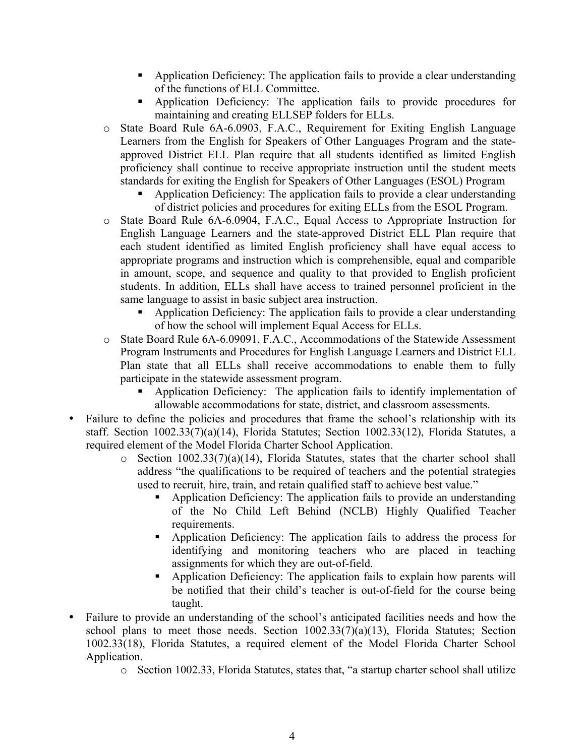- Application Deficiency: The application fails to provide a clear understanding of the functions of ELL Committee.
- § Application Deficiency: The application fails to provide procedures for maintaining and creating ELLSEP folders for ELLs.
- o State Board Rule 6A-6.0903, F.A.C., Requirement for Exiting English Language Learners from the English for Speakers of Other Languages Program and the stateapproved District ELL Plan require that all students identified as limited English proficiency shall continue to receive appropriate instruction until the student meets standards for exiting the English for Speakers of Other Languages (ESOL) Program
	- § Application Deficiency: The application fails to provide a clear understanding of district policies and procedures for exiting ELLs from the ESOL Program.
- o State Board Rule 6A-6.0904, F.A.C., Equal Access to Appropriate Instruction for English Language Learners and the state-approved District ELL Plan require that each student identified as limited English proficiency shall have equal access to appropriate programs and instruction which is comprehensible, equal and comparible in amount, scope, and sequence and quality to that provided to English proficient students. In addition, ELLs shall have access to trained personnel proficient in the same language to assist in basic subject area instruction.
	- § Application Deficiency: The application fails to provide a clear understanding of how the school will implement Equal Access for ELLs.
- o State Board Rule 6A-6.09091, F.A.C., Accommodations of the Statewide Assessment Program Instruments and Procedures for English Language Learners and District ELL Plan state that all ELLs shall receive accommodations to enable them to fully participate in the statewide assessment program.
	- § Application Deficiency: The application fails to identify implementation of allowable accommodations for state, district, and classroom assessments.
- Failure to define the policies and procedures that frame the school's relationship with its staff. Section 1002.33(7)(a)(14), Florida Statutes; Section 1002.33(12), Florida Statutes, a required element of the Model Florida Charter School Application.
	- $\circ$  Section 1002.33(7)(a)(14), Florida Statutes, states that the charter school shall address "the qualifications to be required of teachers and the potential strategies used to recruit, hire, train, and retain qualified staff to achieve best value."
		- § Application Deficiency: The application fails to provide an understanding of the No Child Left Behind (NCLB) Highly Qualified Teacher requirements.
		- Application Deficiency: The application fails to address the process for identifying and monitoring teachers who are placed in teaching assignments for which they are out-of-field.
		- § Application Deficiency: The application fails to explain how parents will be notified that their child's teacher is out-of-field for the course being taught.
- Failure to provide an understanding of the school's anticipated facilities needs and how the school plans to meet those needs. Section  $1002.33(7)(a)(13)$ , Florida Statutes; Section 1002.33(18), Florida Statutes, a required element of the Model Florida Charter School Application.
	- o Section 1002.33, Florida Statutes, states that, "a startup charter school shall utilize